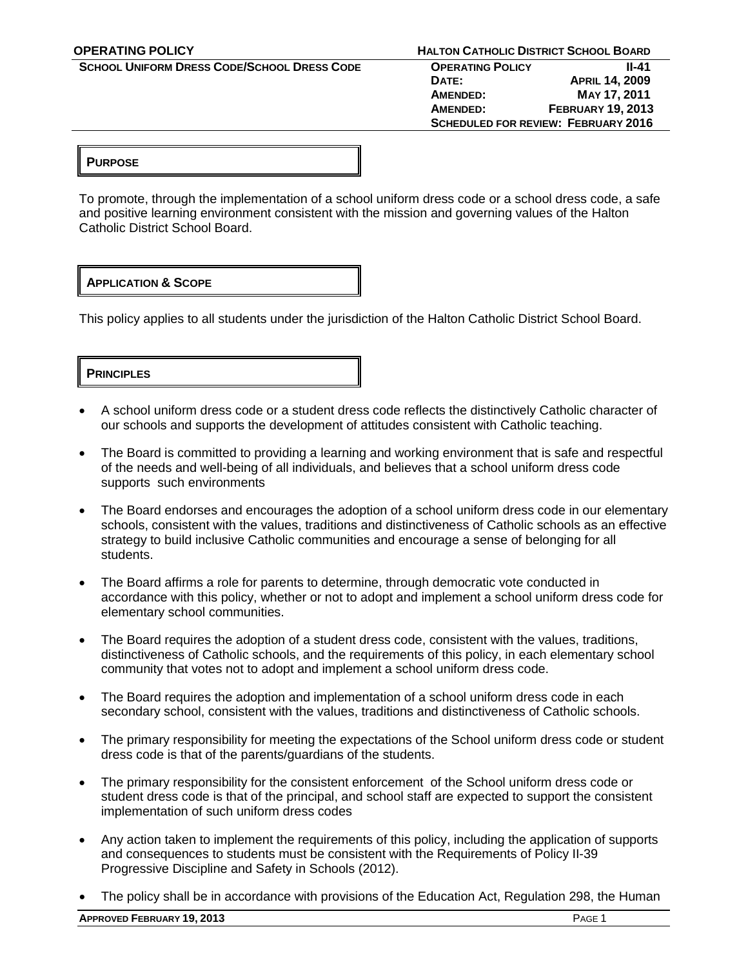**OPERATING POLICY HALTON CATHOLIC DISTRICT SCHOOL BOARD**

 **SCHOOL UNIFORM DRESS CODE/SCHOOL DRESS CODE OPERATING POLICY II-41 DATE: APRIL 14, 2009 AMENDED: MAY 17, 2011 AMENDED: FEBRUARY 19, 2013 SCHEDULED FOR REVIEW: FEBRUARY 2016**

# **PURPOSE**

To promote, through the implementation of a school uniform dress code or a school dress code, a safe and positive learning environment consistent with the mission and governing values of the Halton Catholic District School Board.

# **APPLICATION & SCOPE**

This policy applies to all students under the jurisdiction of the Halton Catholic District School Board.

**PRINCIPLES**

- A school uniform dress code or a student dress code reflects the distinctively Catholic character of our schools and supports the development of attitudes consistent with Catholic teaching.
- The Board is committed to providing a learning and working environment that is safe and respectful of the needs and well-being of all individuals, and believes that a school uniform dress code supports such environments
- The Board endorses and encourages the adoption of a school uniform dress code in our elementary schools, consistent with the values, traditions and distinctiveness of Catholic schools as an effective strategy to build inclusive Catholic communities and encourage a sense of belonging for all students.
- The Board affirms a role for parents to determine, through democratic vote conducted in accordance with this policy, whether or not to adopt and implement a school uniform dress code for elementary school communities.
- The Board requires the adoption of a student dress code, consistent with the values, traditions, distinctiveness of Catholic schools, and the requirements of this policy, in each elementary school community that votes not to adopt and implement a school uniform dress code.
- The Board requires the adoption and implementation of a school uniform dress code in each secondary school, consistent with the values, traditions and distinctiveness of Catholic schools.
- The primary responsibility for meeting the expectations of the School uniform dress code or student dress code is that of the parents/guardians of the students.
- The primary responsibility for the consistent enforcement of the School uniform dress code or student dress code is that of the principal, and school staff are expected to support the consistent implementation of such uniform dress codes
- Any action taken to implement the requirements of this policy, including the application of supports and consequences to students must be consistent with the Requirements of Policy II-39 Progressive Discipline and Safety in Schools (2012).
- The policy shall be in accordance with provisions of the Education Act, Regulation 298, the Human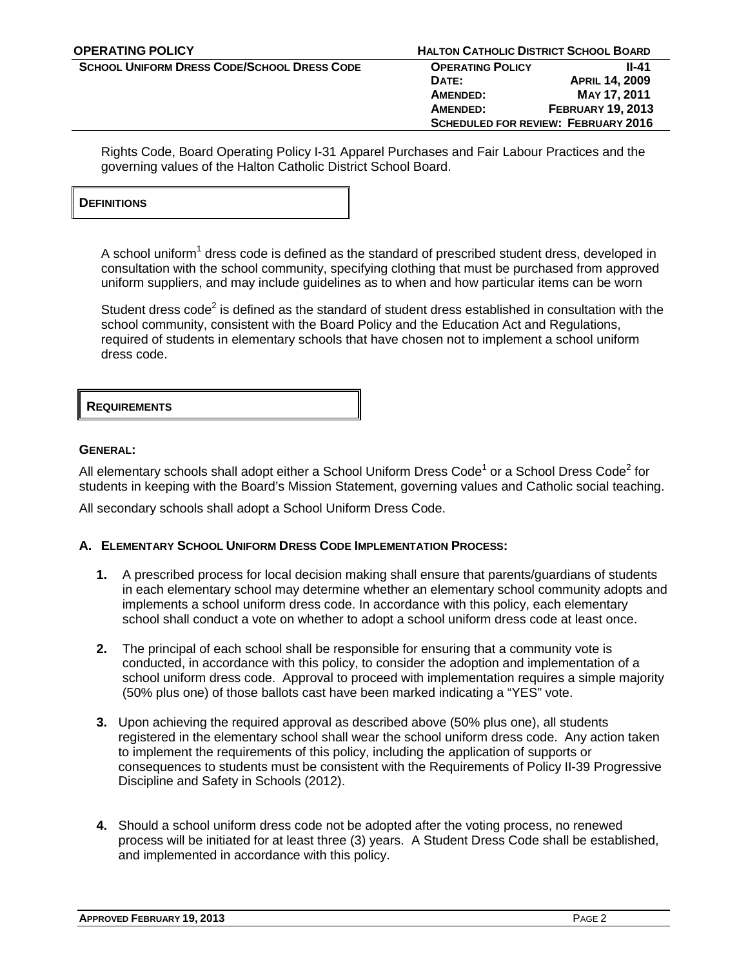**SCHOOL UNIFORM DRESS CODE/SCHOOL DRESS CODE OPERATING POLICY II-41 DATE: APRIL 14, 2009 AMENDED: MAY 17, 2011 AMENDED: FEBRUARY 19, 2013 SCHEDULED FOR REVIEW: FEBRUARY 2016**

Rights Code, Board Operating Policy I-31 Apparel Purchases and Fair Labour Practices and the governing values of the Halton Catholic District School Board.

| <b>DEFINITIONS</b> |  |  |
|--------------------|--|--|
|                    |  |  |

A school uniform<sup>1</sup> dress code is defined as the standard of prescribed student dress, developed in consultation with the school community, specifying clothing that must be purchased from approved uniform suppliers, and may include guidelines as to when and how particular items can be worn

Student dress code<sup>2</sup> is defined as the standard of student dress established in consultation with the school community, consistent with the Board Policy and the Education Act and Regulations, required of students in elementary schools that have chosen not to implement a school uniform dress code.

| <b>REQUIREMENTS</b> |  |
|---------------------|--|
|---------------------|--|

# **GENERAL:**

All elementary schools shall adopt either a School Uniform Dress Code<sup>1</sup> or a School Dress Code<sup>2</sup> for students in keeping with the Board's Mission Statement, governing values and Catholic social teaching.

All secondary schools shall adopt a School Uniform Dress Code.

# **A. ELEMENTARY SCHOOL UNIFORM DRESS CODE IMPLEMENTATION PROCESS:**

- **1.** A prescribed process for local decision making shall ensure that parents/guardians of students in each elementary school may determine whether an elementary school community adopts and implements a school uniform dress code. In accordance with this policy, each elementary school shall conduct a vote on whether to adopt a school uniform dress code at least once.
- **2.** The principal of each school shall be responsible for ensuring that a community vote is conducted, in accordance with this policy, to consider the adoption and implementation of a school uniform dress code. Approval to proceed with implementation requires a simple majority (50% plus one) of those ballots cast have been marked indicating a "YES" vote.
- **3.** Upon achieving the required approval as described above (50% plus one), all students registered in the elementary school shall wear the school uniform dress code. Any action taken to implement the requirements of this policy, including the application of supports or consequences to students must be consistent with the Requirements of Policy II-39 Progressive Discipline and Safety in Schools (2012).
- **4.** Should a school uniform dress code not be adopted after the voting process, no renewed process will be initiated for at least three (3) years. A Student Dress Code shall be established, and implemented in accordance with this policy.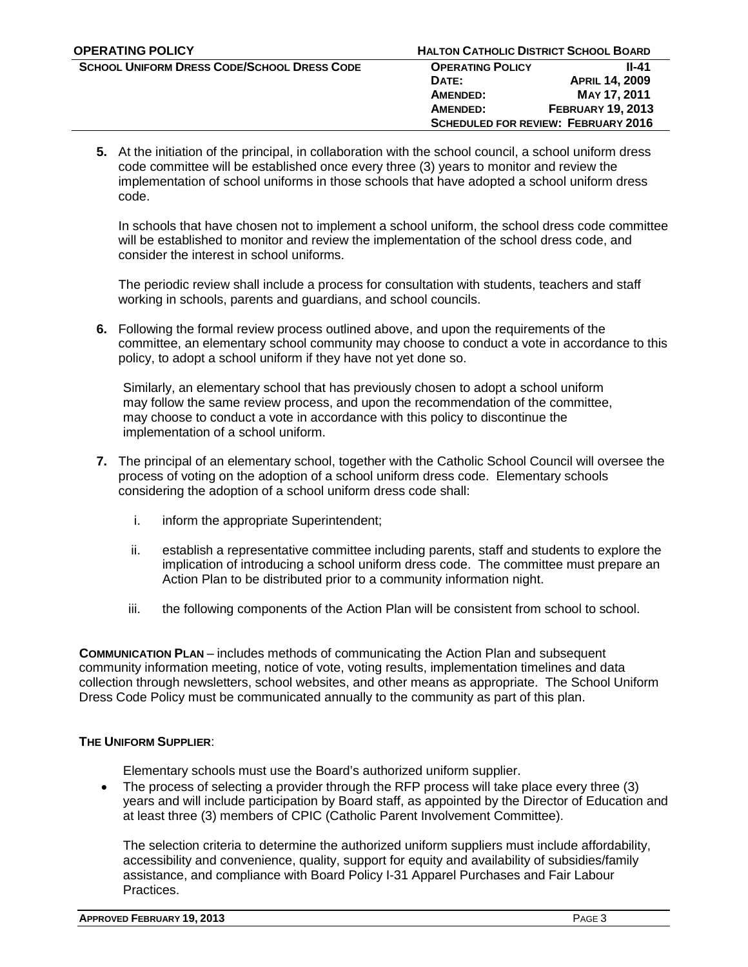**DATE: APRIL 14, 2009 AMENDED: MAY 17, 2011 AMENDED: FEBRUARY 19, 2013 SCHEDULED FOR REVIEW: FEBRUARY 2016**

**5.** At the initiation of the principal, in collaboration with the school council, a school uniform dress code committee will be established once every three (3) years to monitor and review the implementation of school uniforms in those schools that have adopted a school uniform dress code.

In schools that have chosen not to implement a school uniform, the school dress code committee will be established to monitor and review the implementation of the school dress code, and consider the interest in school uniforms.

The periodic review shall include a process for consultation with students, teachers and staff working in schools, parents and guardians, and school councils.

**6.** Following the formal review process outlined above, and upon the requirements of the committee, an elementary school community may choose to conduct a vote in accordance to this policy, to adopt a school uniform if they have not yet done so.

Similarly, an elementary school that has previously chosen to adopt a school uniform may follow the same review process, and upon the recommendation of the committee, may choose to conduct a vote in accordance with this policy to discontinue the implementation of a school uniform.

- **7.** The principal of an elementary school, together with the Catholic School Council will oversee the process of voting on the adoption of a school uniform dress code. Elementary schools considering the adoption of a school uniform dress code shall:
	- i. inform the appropriate Superintendent;
	- ii. establish a representative committee including parents, staff and students to explore the implication of introducing a school uniform dress code. The committee must prepare an Action Plan to be distributed prior to a community information night.
	- iii. the following components of the Action Plan will be consistent from school to school.

**COMMUNICATION PLAN** – includes methods of communicating the Action Plan and subsequent community information meeting, notice of vote, voting results, implementation timelines and data collection through newsletters, school websites, and other means as appropriate. The School Uniform Dress Code Policy must be communicated annually to the community as part of this plan.

# **THE UNIFORM SUPPLIER**:

Elementary schools must use the Board's authorized uniform supplier.

• The process of selecting a provider through the RFP process will take place every three (3) years and will include participation by Board staff, as appointed by the Director of Education and at least three (3) members of CPIC (Catholic Parent Involvement Committee).

The selection criteria to determine the authorized uniform suppliers must include affordability, accessibility and convenience, quality, support for equity and availability of subsidies/family assistance, and compliance with Board Policy I-31 Apparel Purchases and Fair Labour Practices.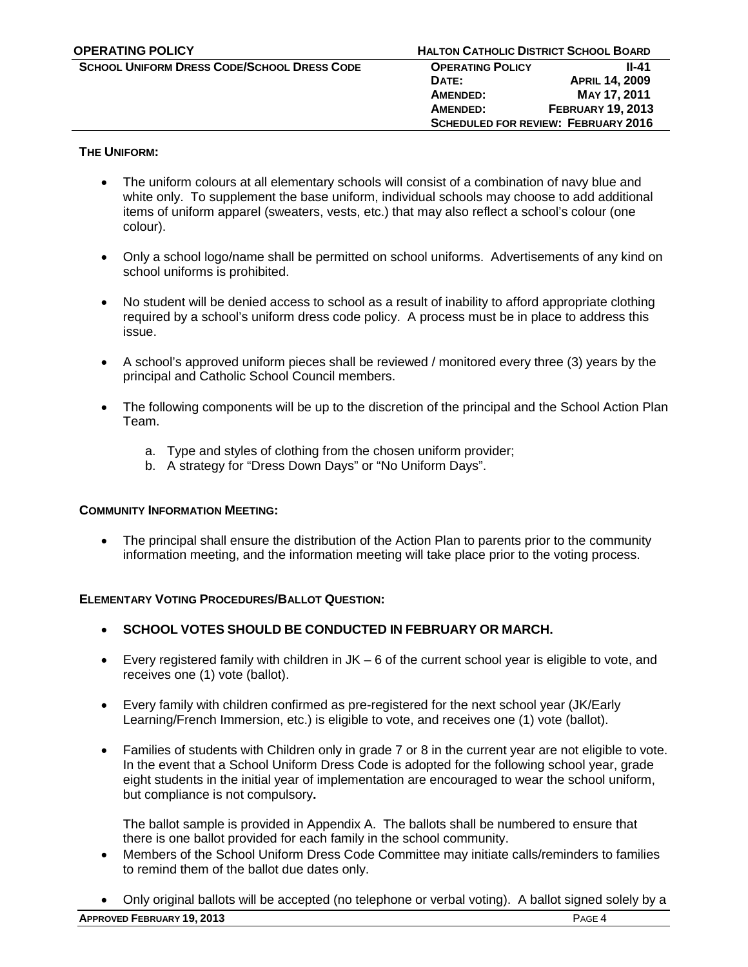# **THE UNIFORM:**

- The uniform colours at all elementary schools will consist of a combination of navy blue and white only. To supplement the base uniform, individual schools may choose to add additional items of uniform apparel (sweaters, vests, etc.) that may also reflect a school's colour (one colour).
- Only a school logo/name shall be permitted on school uniforms. Advertisements of any kind on school uniforms is prohibited.
- No student will be denied access to school as a result of inability to afford appropriate clothing required by a school's uniform dress code policy. A process must be in place to address this issue.
- A school's approved uniform pieces shall be reviewed / monitored every three (3) years by the principal and Catholic School Council members.
- The following components will be up to the discretion of the principal and the School Action Plan Team.
	- a. Type and styles of clothing from the chosen uniform provider;
	- b. A strategy for "Dress Down Days" or "No Uniform Days".

## **COMMUNITY INFORMATION MEETING:**

• The principal shall ensure the distribution of the Action Plan to parents prior to the community information meeting, and the information meeting will take place prior to the voting process.

## **ELEMENTARY VOTING PROCEDURES/BALLOT QUESTION:**

- **SCHOOL VOTES SHOULD BE CONDUCTED IN FEBRUARY OR MARCH.**
- Every registered family with children in  $JK 6$  of the current school year is eligible to vote, and receives one (1) vote (ballot).
- Every family with children confirmed as pre-registered for the next school year (JK/Early Learning/French Immersion, etc.) is eligible to vote, and receives one (1) vote (ballot).
- Families of students with Children only in grade 7 or 8 in the current year are not eligible to vote. In the event that a School Uniform Dress Code is adopted for the following school year, grade eight students in the initial year of implementation are encouraged to wear the school uniform, but compliance is not compulsory**.**

The ballot sample is provided in Appendix A. The ballots shall be numbered to ensure that there is one ballot provided for each family in the school community.

- Members of the School Uniform Dress Code Committee may initiate calls/reminders to families to remind them of the ballot due dates only.
- Only original ballots will be accepted (no telephone or verbal voting). A ballot signed solely by a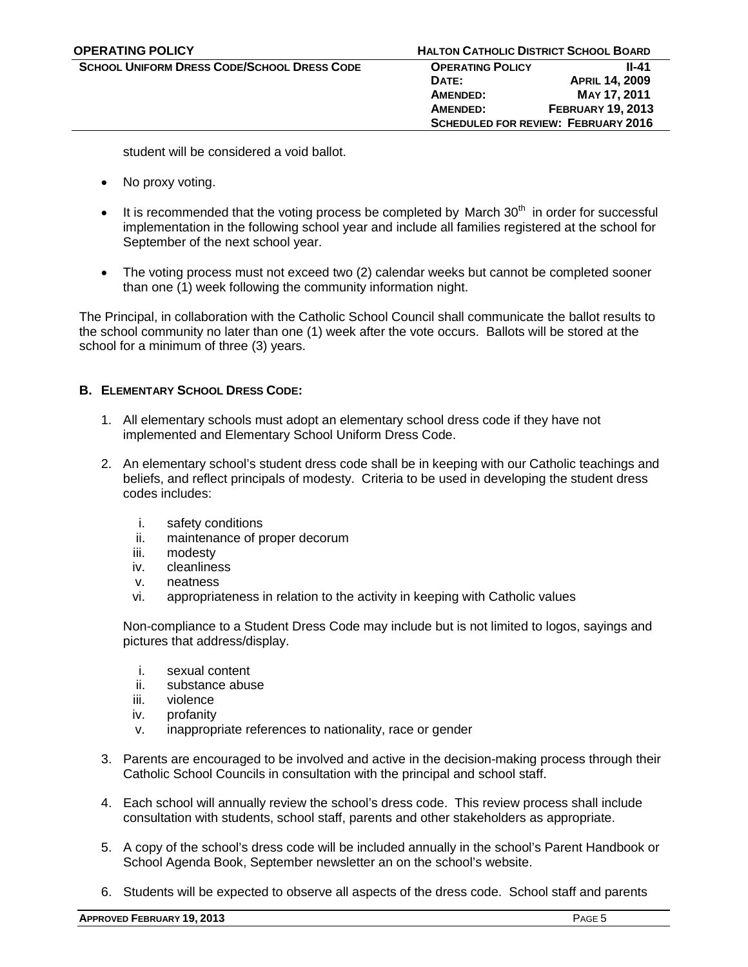**DATE: APRIL 14, 2009 AMENDED: MAY 17, 2011 AMENDED: FEBRUARY 19, 2013 SCHEDULED FOR REVIEW: FEBRUARY 2016**

student will be considered a void ballot.

- No proxy voting.
- It is recommended that the voting process be completed by March  $30<sup>th</sup>$  in order for successful implementation in the following school year and include all families registered at the school for September of the next school year.
- The voting process must not exceed two (2) calendar weeks but cannot be completed sooner than one (1) week following the community information night.

The Principal, in collaboration with the Catholic School Council shall communicate the ballot results to the school community no later than one (1) week after the vote occurs. Ballots will be stored at the school for a minimum of three (3) years.

# **B. ELEMENTARY SCHOOL DRESS CODE:**

- 1. All elementary schools must adopt an elementary school dress code if they have not implemented and Elementary School Uniform Dress Code.
- 2. An elementary school's student dress code shall be in keeping with our Catholic teachings and beliefs, and reflect principals of modesty. Criteria to be used in developing the student dress codes includes:
	- i. safety conditions
	- ii. maintenance of proper decorum
	- iii. modesty
	- iv. cleanliness
	- v. neatness
	- vi. appropriateness in relation to the activity in keeping with Catholic values

Non-compliance to a Student Dress Code may include but is not limited to logos, sayings and pictures that address/display.

- i. sexual content
- ii. substance abuse
- iii. violence
- iv. profanity
- v. inappropriate references to nationality, race or gender
- 3. Parents are encouraged to be involved and active in the decision-making process through their Catholic School Councils in consultation with the principal and school staff.
- 4. Each school will annually review the school's dress code. This review process shall include consultation with students, school staff, parents and other stakeholders as appropriate.
- 5. A copy of the school's dress code will be included annually in the school's Parent Handbook or School Agenda Book, September newsletter an on the school's website.
- 6. Students will be expected to observe all aspects of the dress code. School staff and parents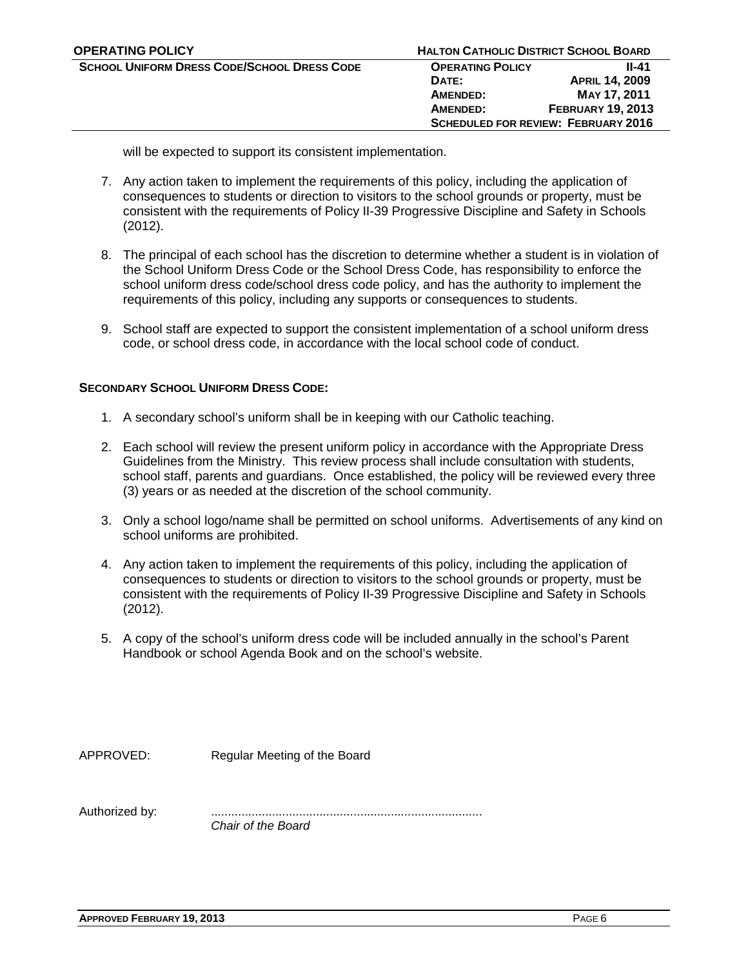will be expected to support its consistent implementation.

- 7. Any action taken to implement the requirements of this policy, including the application of consequences to students or direction to visitors to the school grounds or property, must be consistent with the requirements of Policy II-39 Progressive Discipline and Safety in Schools (2012).
- 8. The principal of each school has the discretion to determine whether a student is in violation of the School Uniform Dress Code or the School Dress Code, has responsibility to enforce the school uniform dress code/school dress code policy, and has the authority to implement the requirements of this policy, including any supports or consequences to students.
- 9. School staff are expected to support the consistent implementation of a school uniform dress code, or school dress code, in accordance with the local school code of conduct.

# **SECONDARY SCHOOL UNIFORM DRESS CODE:**

- 1. A secondary school's uniform shall be in keeping with our Catholic teaching.
- 2. Each school will review the present uniform policy in accordance with the Appropriate Dress Guidelines from the Ministry. This review process shall include consultation with students, school staff, parents and guardians. Once established, the policy will be reviewed every three (3) years or as needed at the discretion of the school community.
- 3. Only a school logo/name shall be permitted on school uniforms. Advertisements of any kind on school uniforms are prohibited.
- 4. Any action taken to implement the requirements of this policy, including the application of consequences to students or direction to visitors to the school grounds or property, must be consistent with the requirements of Policy II-39 Progressive Discipline and Safety in Schools (2012).
- 5. A copy of the school's uniform dress code will be included annually in the school's Parent Handbook or school Agenda Book and on the school's website.

APPROVED: Regular Meeting of the Board

Authorized by: ................................................................................ *Chair of the Board*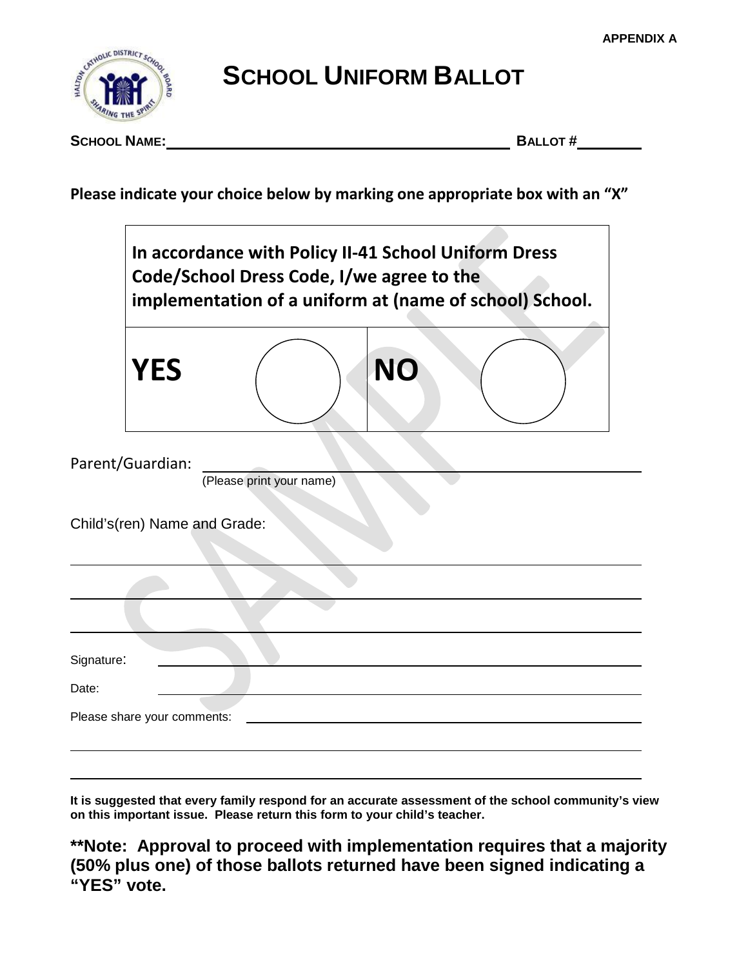

**SCHOOL UNIFORM BALLOT**

**SCHOOL NAME: BALLOT #**

**Please indicate your choice below by marking one appropriate box with an "X"**



**It is suggested that every family respond for an accurate assessment of the school community's view on this important issue. Please return this form to your child's teacher.**

**\*\*Note: Approval to proceed with implementation requires that a majority (50% plus one) of those ballots returned have been signed indicating a "YES" vote.**